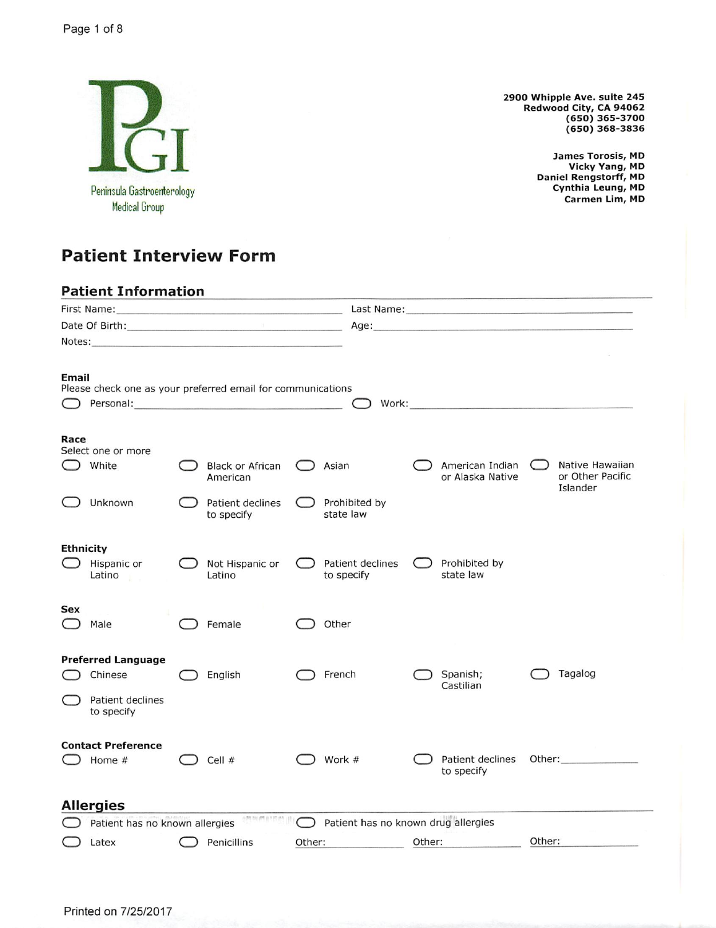

**Patient Interview Form** 

**Patient Information** 

First Name: Last Name: Date Of Birth: Age: Notes: Email Please check one as your preferred email for communications  $\bigcirc$  Personal: Work:  $\rightarrow$ Race Select one or more Native Hawaiian  $\bigcirc$  White **Black or African** American Indian  $\bigcirc$  $\bigcirc$  Asian American or Alaska Native or Other Pacific Islander Unknown Patient declines Prohibited by to specify state law **Ethnicity** Hispanic or Not Hispanic or Patient declines Prohibited by  $\bigcap$  $($ to specify state law Latino Latino **Sex**  $\bigcirc$  Female  $\bigcirc$  Other  $\bigcirc$  Male **Preferred Language** Tagalog  $\bigcirc$  Chinese  $\bigcirc$  English  $\bigcirc$  French Spanish; Castilian Patient declines to specify **Contact Preference**  $\Box$  Work # Patient declines Other:  $\bigcirc$  Home #  $\bigcirc$  Cell # to specify **Allergies Patient has no known drug allergies**  $\bigcirc$  Patient has no known allergies Other:  $\bigcirc$  Latex Penicillins Other: Other:

2900 Whipple Ave. suite 245 Redwood City, CA 94062  $(650)$  365-3700  $(650)$  368-3836

> James Torosis, MD Vicky Yang, MD **Daniel Rengstorff, MD** Cynthia Leung, MD Carmen Lim, MD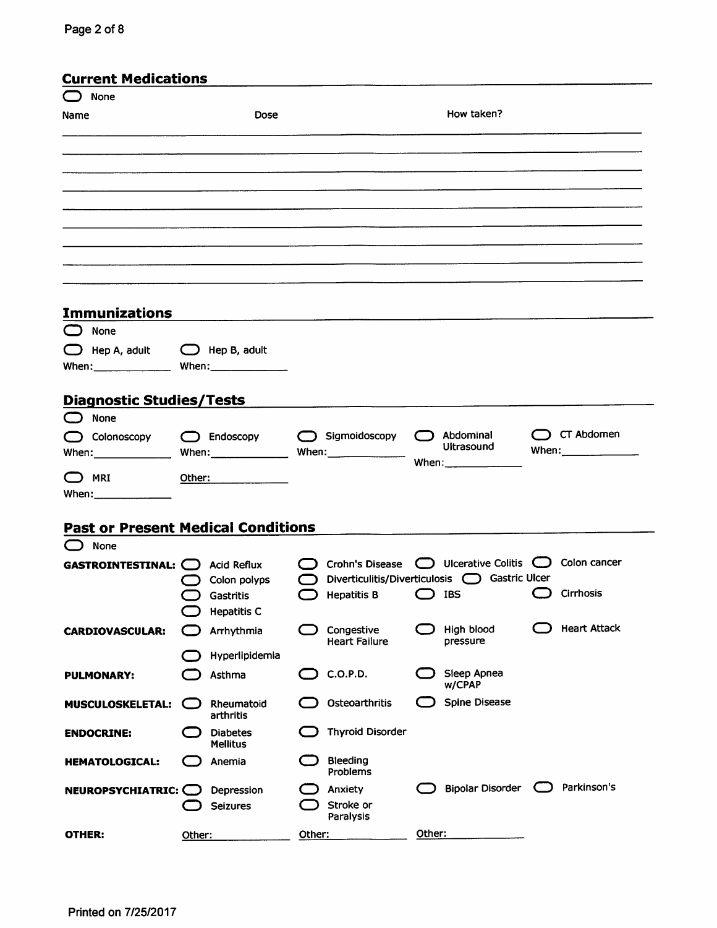| <b>Current Medications</b>                      |        |                                           |           |                                                       |        |                                                 |            |                                   |
|-------------------------------------------------|--------|-------------------------------------------|-----------|-------------------------------------------------------|--------|-------------------------------------------------|------------|-----------------------------------|
| None                                            |        |                                           |           |                                                       |        |                                                 |            |                                   |
| Name                                            |        | <b>Dose</b>                               |           |                                                       |        | How taken?                                      |            |                                   |
|                                                 |        |                                           |           |                                                       |        |                                                 |            |                                   |
|                                                 |        |                                           |           |                                                       |        |                                                 |            |                                   |
|                                                 |        |                                           |           |                                                       |        |                                                 |            |                                   |
|                                                 |        |                                           |           |                                                       |        |                                                 |            |                                   |
|                                                 |        |                                           |           |                                                       |        |                                                 |            |                                   |
|                                                 |        |                                           |           |                                                       |        |                                                 |            |                                   |
|                                                 |        |                                           |           |                                                       |        |                                                 |            |                                   |
|                                                 |        |                                           |           |                                                       |        |                                                 |            |                                   |
|                                                 |        |                                           |           |                                                       |        |                                                 |            |                                   |
| <b>Immunizations</b>                            |        |                                           |           |                                                       |        |                                                 |            |                                   |
| None                                            |        |                                           |           |                                                       |        |                                                 |            |                                   |
| $\bigcirc$ Hep A, adult $\bigcirc$ Hep B, adult |        |                                           |           |                                                       |        |                                                 |            |                                   |
| When: When: When:                               |        |                                           |           |                                                       |        |                                                 |            |                                   |
|                                                 |        |                                           |           |                                                       |        |                                                 |            |                                   |
| <b>Diagnostic Studies/Tests</b>                 |        |                                           |           |                                                       |        |                                                 |            |                                   |
| None<br>$\Box$                                  |        |                                           |           |                                                       |        |                                                 |            |                                   |
| $\bigcirc$ Colonoscopy                          |        | $\bigcirc$ Endoscopy                      |           | Sigmoidoscopy                                         |        | Abdominal<br><b>Ultrasound</b>                  |            | CT Abdomen<br>When: $\frac{1}{2}$ |
| When: ________________                          |        |                                           |           |                                                       |        | When: $\frac{1}{2}$                             |            |                                   |
| <b>MRI</b>                                      | Other: | the company of the company of the company |           |                                                       |        |                                                 |            |                                   |
|                                                 |        |                                           |           |                                                       |        |                                                 |            |                                   |
| <b>Past or Present Medical Conditions</b>       |        |                                           |           |                                                       |        |                                                 |            |                                   |
| $\bigcirc$ None                                 |        |                                           |           |                                                       |        |                                                 |            |                                   |
| <b>GASTROINTESTINAL: CO</b> Acid Reflux         |        |                                           |           | ◯ Crohn's Disease ◯ Ulcerative Colitis ◯ Colon cancer |        |                                                 |            |                                   |
|                                                 |        | Colon polyps                              | $\bigcap$ |                                                       |        | Diverticulitis/Diverticulosis (C) Gastric Ulcer |            |                                   |
|                                                 |        | Gastritis                                 |           | Hepatitis B $\qquad \qquad$ IBS                       |        |                                                 |            | C Cirrhosis                       |
|                                                 |        | <b>Hepatitis C</b>                        |           |                                                       |        |                                                 |            |                                   |
| <b>CARDIOVASCULAR:</b>                          |        | Arrhythmia                                |           | Congestive<br><b>Heart Failure</b>                    |        | High blood<br>pressure                          |            | <b>Heart Attack</b>               |
|                                                 |        | Hyperlipidemia                            |           |                                                       |        |                                                 |            |                                   |
| <b>PULMONARY:</b>                               |        | Asthma                                    |           | C.O.P.D.                                              |        | Sleep Apnea                                     |            |                                   |
|                                                 |        |                                           |           | Osteoarthritis                                        |        | w/CPAP<br><b>Spine Disease</b>                  |            |                                   |
| <b>MUSCULOSKELETAL:</b>                         |        | Rheumatoid<br>arthritis                   |           |                                                       |        |                                                 |            |                                   |
| <b>ENDOCRINE:</b>                               |        | <b>Diabetes</b>                           |           | <b>Thyroid Disorder</b>                               |        |                                                 |            |                                   |
|                                                 | - 11   | <b>Mellitus</b><br>Anemia                 |           | Bleeding                                              |        |                                                 |            |                                   |
| <b>HEMATOLOGICAL:</b>                           |        |                                           |           | Problems                                              |        |                                                 |            |                                   |
| NEUROPSYCHIATRIC: O                             |        | Depression                                |           | Anxiety                                               |        | <b>Bipolar Disorder</b>                         | - (      ) | Parkinson's                       |
|                                                 |        | <b>Seizures</b>                           |           | Stroke or<br>Paralysis                                |        |                                                 |            |                                   |
| <b>OTHER:</b>                                   | Other: |                                           | Other:    |                                                       | Other: |                                                 |            |                                   |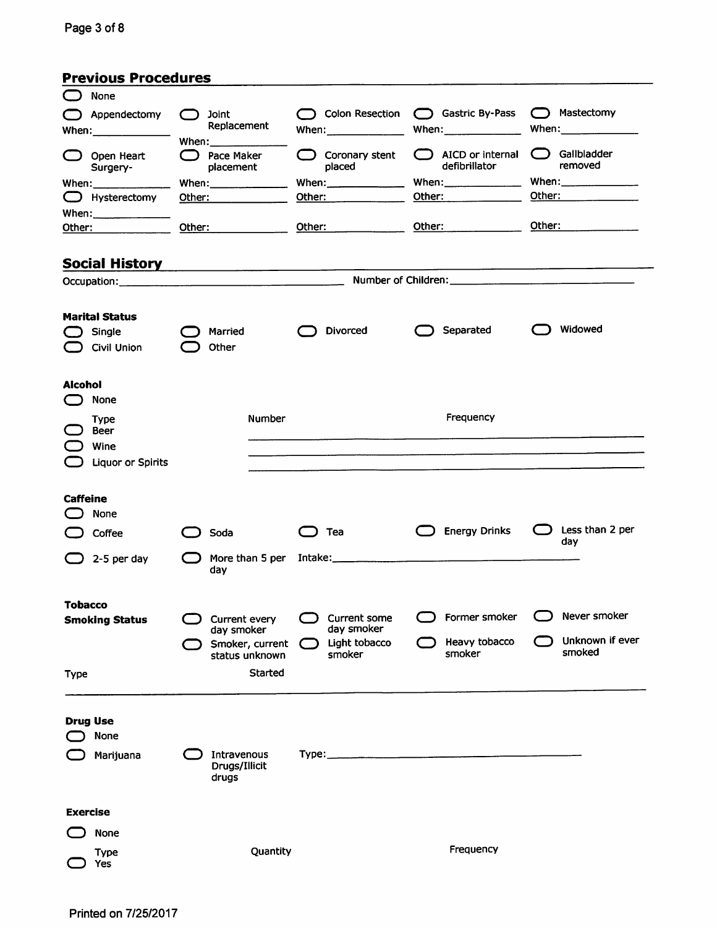| <b>Previous Procedures</b> |  |  |  |
|----------------------------|--|--|--|
|----------------------------|--|--|--|

| None                                                                                                                                                                                                                                                                                                                  |                 |                                       |                                     |     |                                                                                                                                                                                                                                      |        |                           |
|-----------------------------------------------------------------------------------------------------------------------------------------------------------------------------------------------------------------------------------------------------------------------------------------------------------------------|-----------------|---------------------------------------|-------------------------------------|-----|--------------------------------------------------------------------------------------------------------------------------------------------------------------------------------------------------------------------------------------|--------|---------------------------|
| Appendectomy<br>- 1                                                                                                                                                                                                                                                                                                   | $\bigcap$ Joint |                                       | ◯ Colon Resection ◯ Gastric By-Pass |     |                                                                                                                                                                                                                                      |        | ( Mastectomy              |
| When: $\frac{1}{2}$ when:                                                                                                                                                                                                                                                                                             |                 | Replacement<br>When: $\frac{1}{2}$    | When: $\frac{1}{2}$ when:           |     | When: $\frac{1}{2}$                                                                                                                                                                                                                  |        |                           |
| Open Heart<br>Surgery-                                                                                                                                                                                                                                                                                                |                 | $\Box$ Pace Maker<br>placement        | $\bigcirc$ Coronary stent<br>placed |     | $\Box$ AICD or internal<br>defibrillator                                                                                                                                                                                             |        | ◯ Gallbladder<br>removed  |
| When: $\frac{1}{2}$ $\frac{1}{2}$ $\frac{1}{2}$ $\frac{1}{2}$ $\frac{1}{2}$ $\frac{1}{2}$ $\frac{1}{2}$ $\frac{1}{2}$ $\frac{1}{2}$ $\frac{1}{2}$ $\frac{1}{2}$ $\frac{1}{2}$ $\frac{1}{2}$ $\frac{1}{2}$ $\frac{1}{2}$ $\frac{1}{2}$ $\frac{1}{2}$ $\frac{1}{2}$ $\frac{1}{2}$ $\frac{1}{2}$ $\frac{1}{2}$ $\frac{1$ |                 | When: $\sqrt{2}$                      |                                     |     | When: $\frac{1}{2}$ when:                                                                                                                                                                                                            |        | When: $\frac{1}{2}$ when: |
| $\Box$ Hysterectomy                                                                                                                                                                                                                                                                                                   |                 | Other: _____________                  | Other: _______________              |     | Other: <b>with a contract of the contract of the contract of the contract of the contract of the contract of the contract of the contract of the contract of the contract of the contract of the contract of the contract of the</b> |        | Other: ______________     |
| Other: ______________                                                                                                                                                                                                                                                                                                 |                 |                                       | Other: ______________               |     | Other: _____________                                                                                                                                                                                                                 | Other: |                           |
|                                                                                                                                                                                                                                                                                                                       |                 |                                       |                                     |     |                                                                                                                                                                                                                                      |        |                           |
| Social History <b>Communist Communist Communist Communist Communist Communist Communist Communist Communist Communist Communist Communist Communist Communist Communist Communist Communist Communist Communist Communist Commun</b>                                                                                  |                 |                                       |                                     |     |                                                                                                                                                                                                                                      |        |                           |
|                                                                                                                                                                                                                                                                                                                       |                 |                                       |                                     |     |                                                                                                                                                                                                                                      |        |                           |
|                                                                                                                                                                                                                                                                                                                       |                 |                                       |                                     |     |                                                                                                                                                                                                                                      |        |                           |
| <b>Marital Status</b><br>Single<br>Civil Union                                                                                                                                                                                                                                                                        |                 | Married<br>Other                      | <b>Divorced</b>                     |     | Separated                                                                                                                                                                                                                            |        | Widowed                   |
| <b>Alcohol</b><br>None                                                                                                                                                                                                                                                                                                |                 |                                       |                                     |     |                                                                                                                                                                                                                                      |        |                           |
| <b>Type</b>                                                                                                                                                                                                                                                                                                           |                 | <b>Number</b>                         |                                     |     | Frequency                                                                                                                                                                                                                            |        |                           |
| <b>Beer</b><br>Wine                                                                                                                                                                                                                                                                                                   |                 |                                       |                                     |     |                                                                                                                                                                                                                                      |        |                           |
| <b>Liquor or Spirits</b>                                                                                                                                                                                                                                                                                              |                 |                                       |                                     |     |                                                                                                                                                                                                                                      |        |                           |
|                                                                                                                                                                                                                                                                                                                       |                 |                                       |                                     |     |                                                                                                                                                                                                                                      |        |                           |
| <b>Caffeine</b>                                                                                                                                                                                                                                                                                                       |                 |                                       |                                     |     |                                                                                                                                                                                                                                      |        |                           |
| None                                                                                                                                                                                                                                                                                                                  |                 |                                       |                                     |     |                                                                                                                                                                                                                                      |        |                           |
| Coffee                                                                                                                                                                                                                                                                                                                |                 | Soda                                  | Tea                                 | ( ) | <b>Energy Drinks</b>                                                                                                                                                                                                                 | O      | Less than 2 per<br>day    |
| 2-5 per day                                                                                                                                                                                                                                                                                                           |                 | More than 5 per<br>day                |                                     |     |                                                                                                                                                                                                                                      |        |                           |
| <b>Tobacco</b>                                                                                                                                                                                                                                                                                                        |                 |                                       |                                     |     |                                                                                                                                                                                                                                      |        |                           |
| <b>Smoking Status</b>                                                                                                                                                                                                                                                                                                 |                 | Current every                         | Current some                        |     | Former smoker                                                                                                                                                                                                                        |        | Never smoker              |
|                                                                                                                                                                                                                                                                                                                       |                 | day smoker<br>Smoker, current         | day smoker<br>Light tobacco         |     | Heavy tobacco                                                                                                                                                                                                                        |        | Unknown if ever           |
|                                                                                                                                                                                                                                                                                                                       |                 | status unknown                        | smoker                              |     | smoker                                                                                                                                                                                                                               |        | smoked                    |
| Type                                                                                                                                                                                                                                                                                                                  |                 | Started                               |                                     |     |                                                                                                                                                                                                                                      |        |                           |
|                                                                                                                                                                                                                                                                                                                       |                 |                                       |                                     |     |                                                                                                                                                                                                                                      |        |                           |
| <b>Drug Use</b><br>None                                                                                                                                                                                                                                                                                               |                 |                                       |                                     |     |                                                                                                                                                                                                                                      |        |                           |
| Marijuana                                                                                                                                                                                                                                                                                                             |                 | Intravenous<br>Drugs/Illicit<br>drugs |                                     |     |                                                                                                                                                                                                                                      |        |                           |
| <b>Exercise</b>                                                                                                                                                                                                                                                                                                       |                 |                                       |                                     |     |                                                                                                                                                                                                                                      |        |                           |
| None                                                                                                                                                                                                                                                                                                                  |                 |                                       |                                     |     |                                                                                                                                                                                                                                      |        |                           |
| Type                                                                                                                                                                                                                                                                                                                  |                 | Quantity                              |                                     |     | Frequency                                                                                                                                                                                                                            |        |                           |
| Yes                                                                                                                                                                                                                                                                                                                   |                 |                                       |                                     |     |                                                                                                                                                                                                                                      |        |                           |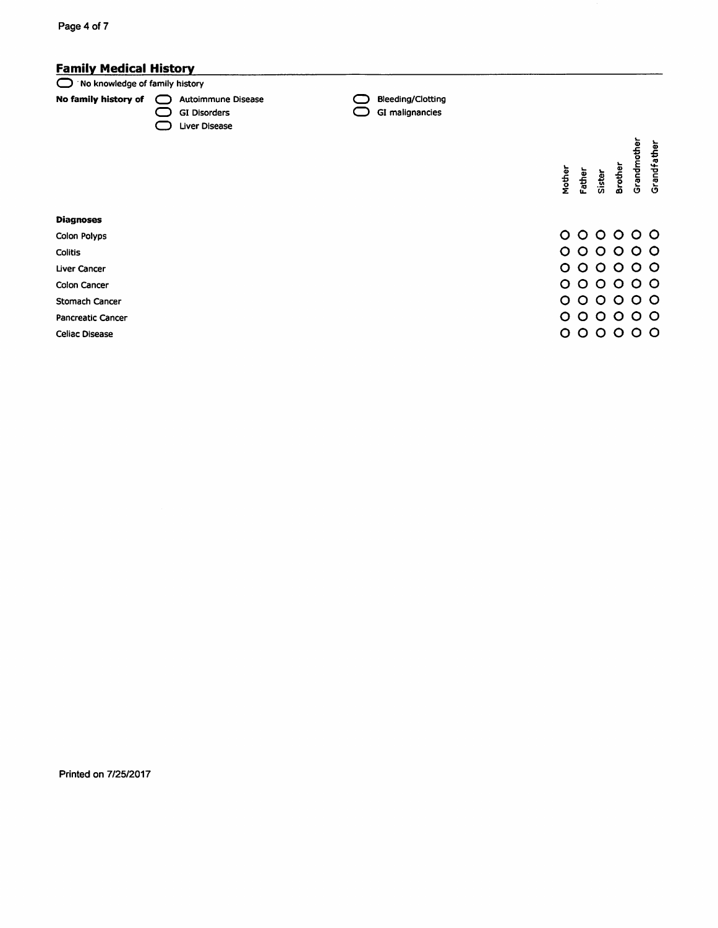# **Family Medical History**

#### No knowledge of family history

No family history of 
<br>
<br>  $\bigcirc$  Autoimmune Disease

- GI Disorders Uiver Disease
- Bleeding/Clotting<br>
GI malignancies

| Mother         | Father | Sister  | Brother | Grandmother | Grandfather             |
|----------------|--------|---------|---------|-------------|-------------------------|
| O              | 0      | O       | $\circ$ | O           | $\circ$                 |
| O              | O      | O       | O       | O           | $\circ$                 |
| O              | Ō      | O       | $\circ$ | O           | $\circ$                 |
| O              | Ó      | O       | O       | O           | $\overline{\mathsf{C}}$ |
| O              | Ó      | $\circ$ | Ō       | Ō           | $\overline{O}$          |
| O              | Ó      | O       | O       | Ó           | $\overline{O}$          |
| $\overline{O}$ | O      | Ō       | Ó       | Ó           | O                       |

#### **Diagnoses**

Colon Polyps

Colitis

Liver Cancer

Colon Cancer

Stomach Cancer

Pancreatic Cancer

**Celiac Disease** 

Printed on 7/25/2017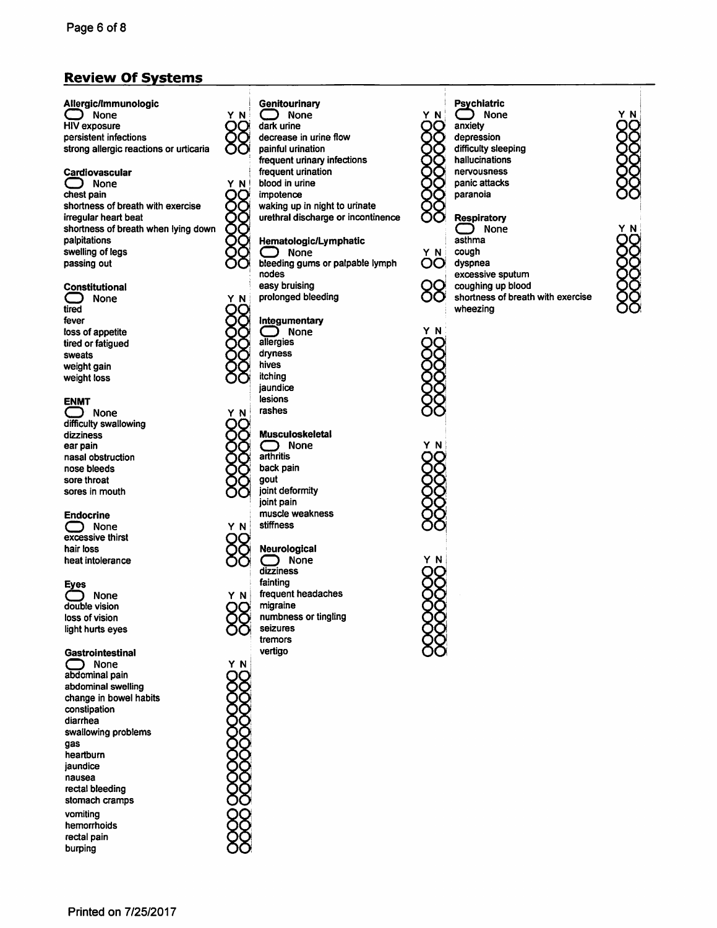# **Review Of Systems**

Allergic/Immunologic  $\supset$  None **HIV** exposure persistent infections strong allergic reactions or urticaria

#### Cardiovascular

 $\supset$  None chest pain shortness of breath with exercise irregular heart beat shortness of breath when lying down palpitations swelling of legs passing out

#### Constitutional

**None** tired fever loss of appetite tired or fatiqued sweats weight gain weight loss

#### **ENMT**

**None** difficulty swallowing dizziness ear pain nasal obstruction nose bleeds sore throat sores in mouth

#### **Endocrine**

 $\bigcirc$  None excessive thirst hair loss heat intolerance

#### **Eyes**

None  $\Box$ double vision loss of vision light hurts eyes

#### Gastrointestinal

 $\supset$  None abdominal pain abdominal swelling change in bowel habits constipation diarrhea swallowing problems gas heartburn jaundice nausea rectal bleeding stomach cramps vomiting hemorrhoids rectal pain burping

# Genitourinary

Y N

Y N

 $\supset$  None dark urine decrease in urine flow painful urination frequent urinary infections frequent urination blood in urine impotence waking up in night to urinate urethral discharge or incontinence

### Hematologic/Lymphatic

None bleeding gums or palpable lymph nodes easy bruising prolonged bleeding

#### Integumentary

つ None allergies dryness hives itching jaundice lesions rashes

#### **Musculoskeletal**

 $\sum_{\text{arthritis}}$ **None** back pain gout joint deformity joint pain muscle weakness stiffness

#### Neurological

Y N

ΥN

 $\Box$  None dizziness fainting frequent headaches migraine numbness or tingling seizures tremors vertigo



#### Psychiatric  $\bigcirc$  None anxiety depression difficulty sleeping hallucinations nervousness panic attacks

Respiratory  $\bigcirc$  None asthma cough dyspnea excessive sputum coughing up blood shortness of breath with exercise

wheezing







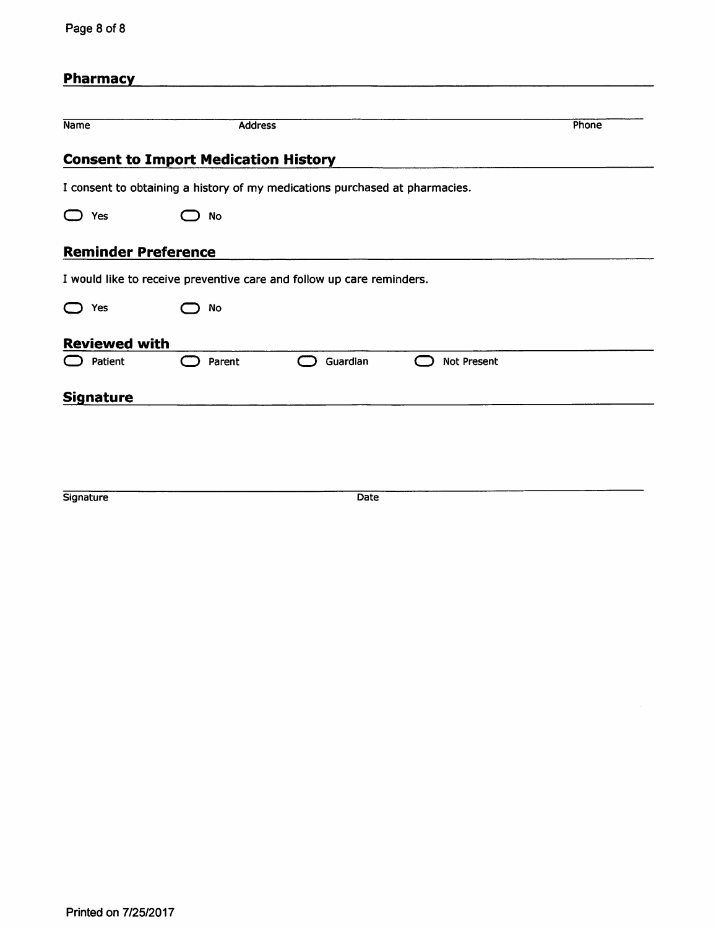| Page 8 of 8 |  |  |  |
|-------------|--|--|--|
|-------------|--|--|--|

| <b>Pharmacy</b>            |                                                                             |          |                    |       |
|----------------------------|-----------------------------------------------------------------------------|----------|--------------------|-------|
| <b>Name</b>                | <b>Address</b>                                                              |          |                    | Phone |
|                            | <b>Consent to Import Medication History</b>                                 |          |                    |       |
|                            | I consent to obtaining a history of my medications purchased at pharmacies. |          |                    |       |
| $\bigcirc$ Yes             | <b>No</b>                                                                   |          |                    |       |
| <b>Reminder Preference</b> |                                                                             |          |                    |       |
|                            | I would like to receive preventive care and follow up care reminders.       |          |                    |       |
| Yes                        | No                                                                          |          |                    |       |
| <b>Reviewed with</b>       |                                                                             |          |                    |       |
| Patient                    | Parent                                                                      | Guardian | <b>Not Present</b> |       |
| <b>Signature</b>           |                                                                             |          |                    |       |

Signature

Date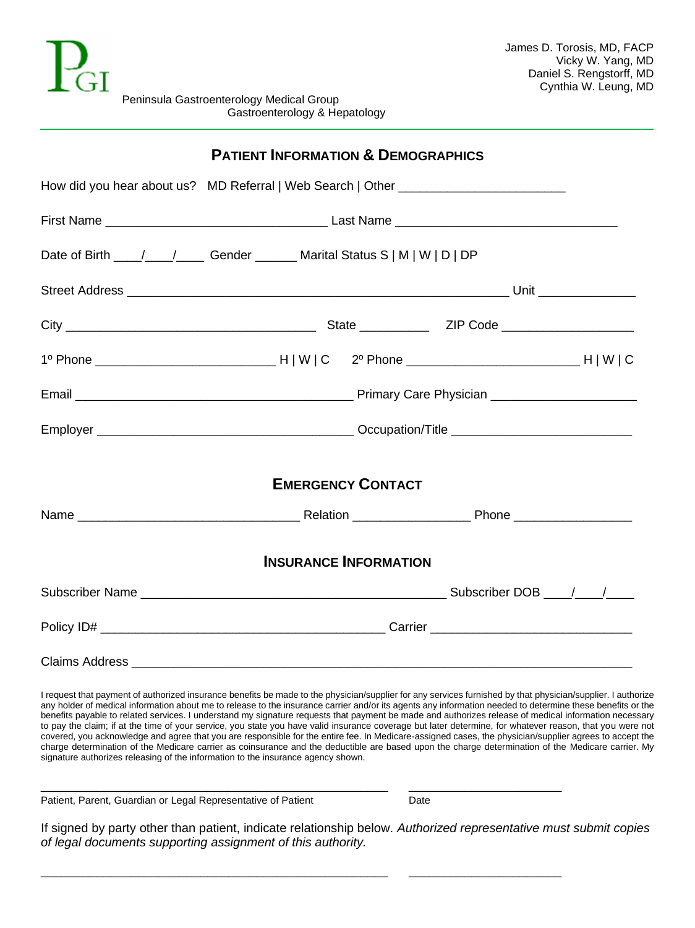

|                                                                                  | <b>PATIENT INFORMATION &amp; DEMOGRAPHICS</b> |                              |  |
|----------------------------------------------------------------------------------|-----------------------------------------------|------------------------------|--|
| How did you hear about us? MD Referral   Web Search   Other ____________________ |                                               |                              |  |
|                                                                                  |                                               |                              |  |
|                                                                                  |                                               |                              |  |
|                                                                                  |                                               |                              |  |
|                                                                                  |                                               |                              |  |
|                                                                                  |                                               |                              |  |
|                                                                                  |                                               |                              |  |
|                                                                                  |                                               |                              |  |
|                                                                                  |                                               | <b>EMERGENCY CONTACT</b>     |  |
|                                                                                  |                                               |                              |  |
|                                                                                  |                                               | <b>INSURANCE INFORMATION</b> |  |
|                                                                                  |                                               |                              |  |
|                                                                                  |                                               |                              |  |
|                                                                                  |                                               |                              |  |

I request that payment of authorized insurance benefits be made to the physician/supplier for any services furnished by that physician/supplier. I authorize any holder of medical information about me to release to the insurance carrier and/or its agents any information needed to determine these benefits or the benefits payable to related services. I understand my signature requests that payment be made and authorizes release of medical information necessary to pay the claim; if at the time of your service, you state you have valid insurance coverage but later determine, for whatever reason, that you were not covered, you acknowledge and agree that you are responsible for the entire fee. In Medicare-assigned cases, the physician/supplier agrees to accept the charge determination of the Medicare carrier as coinsurance and the deductible are based upon the charge determination of the Medicare carrier. My signature authorizes releasing of the information to the insurance agency shown.

Patient, Parent, Guardian or Legal Representative of Patient Date

If signed by party other than patient, indicate relationship below. *Authorized representative must submit copies of legal documents supporting assignment of this authority.*

\_\_\_\_\_\_\_\_\_\_\_\_\_\_\_\_\_\_\_\_\_\_\_\_\_\_\_\_\_\_\_\_\_\_\_\_\_\_\_\_\_\_\_\_\_\_\_\_\_\_ \_\_\_\_\_\_\_\_\_\_\_\_\_\_\_\_\_\_\_\_\_\_

\_\_\_\_\_\_\_\_\_\_\_\_\_\_\_\_\_\_\_\_\_\_\_\_\_\_\_\_\_\_\_\_\_\_\_\_\_\_\_\_\_\_\_\_\_\_\_\_\_\_ \_\_\_\_\_\_\_\_\_\_\_\_\_\_\_\_\_\_\_\_\_\_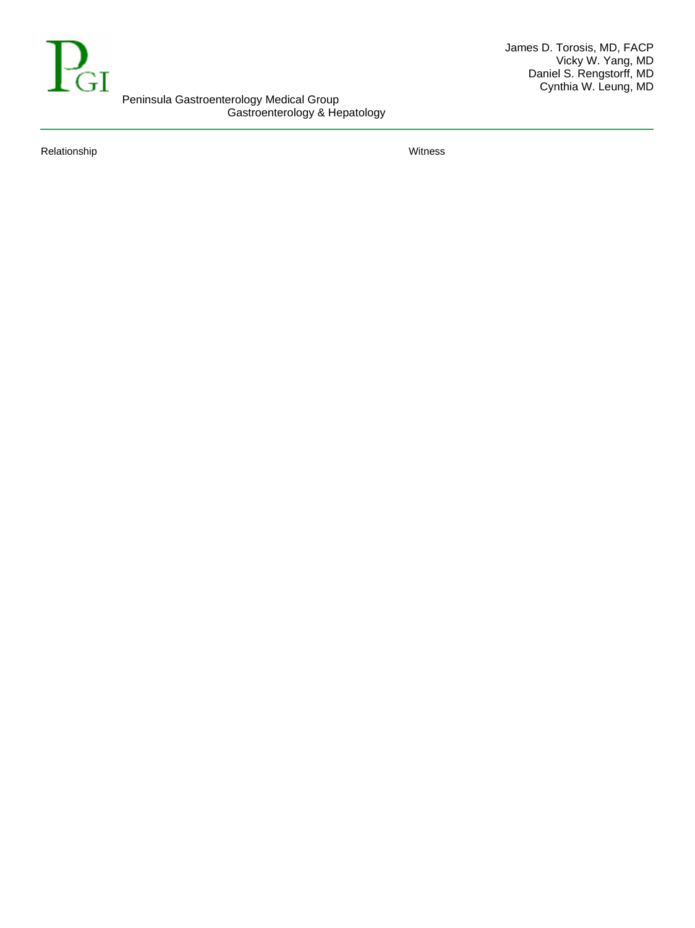

Relationship Witness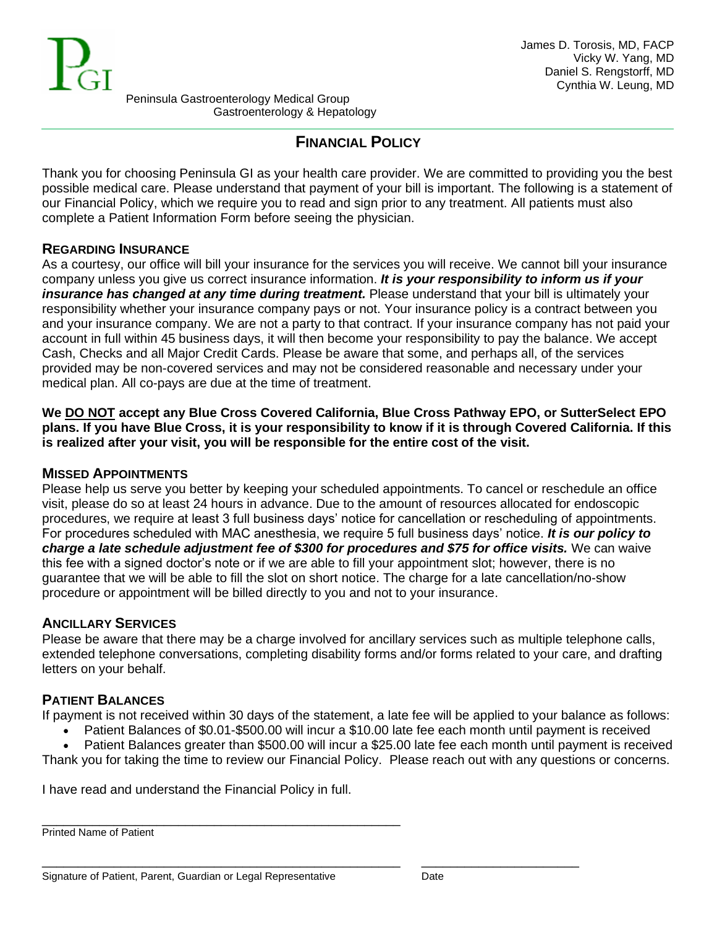

# **FINANCIAL POLICY**

Thank you for choosing Peninsula GI as your health care provider. We are committed to providing you the best possible medical care. Please understand that payment of your bill is important. The following is a statement of our Financial Policy, which we require you to read and sign prior to any treatment. All patients must also complete a Patient Information Form before seeing the physician.

### **REGARDING INSURANCE**

As a courtesy, our office will bill your insurance for the services you will receive. We cannot bill your insurance company unless you give us correct insurance information. *It is your responsibility to inform us if your insurance has changed at any time during treatment.* Please understand that your bill is ultimately your responsibility whether your insurance company pays or not. Your insurance policy is a contract between you and your insurance company. We are not a party to that contract. If your insurance company has not paid your account in full within 45 business days, it will then become your responsibility to pay the balance. We accept Cash, Checks and all Major Credit Cards. Please be aware that some, and perhaps all, of the services provided may be non-covered services and may not be considered reasonable and necessary under your medical plan. All co-pays are due at the time of treatment.

**We DO NOT accept any Blue Cross Covered California, Blue Cross Pathway EPO, or SutterSelect EPO plans. If you have Blue Cross, it is your responsibility to know if it is through Covered California. If this is realized after your visit, you will be responsible for the entire cost of the visit.**

# **MISSED APPOINTMENTS**

Please help us serve you better by keeping your scheduled appointments. To cancel or reschedule an office visit, please do so at least 24 hours in advance. Due to the amount of resources allocated for endoscopic procedures, we require at least 3 full business days' notice for cancellation or rescheduling of appointments. For procedures scheduled with MAC anesthesia, we require 5 full business days' notice. *It is our policy to charge a late schedule adjustment fee of \$300 for procedures and \$75 for office visits.* We can waive this fee with a signed doctor's note or if we are able to fill your appointment slot; however, there is no guarantee that we will be able to fill the slot on short notice. The charge for a late cancellation/no-show procedure or appointment will be billed directly to you and not to your insurance.

# **ANCILLARY SERVICES**

Please be aware that there may be a charge involved for ancillary services such as multiple telephone calls, extended telephone conversations, completing disability forms and/or forms related to your care, and drafting letters on your behalf.

# **PATIENT BALANCES**

If payment is not received within 30 days of the statement, a late fee will be applied to your balance as follows:

• Patient Balances of \$0.01-\$500.00 will incur a \$10.00 late fee each month until payment is received

• Patient Balances greater than \$500.00 will incur a \$25.00 late fee each month until payment is received Thank you for taking the time to review our Financial Policy. Please reach out with any questions or concerns.

\_\_\_\_\_\_\_\_\_\_\_\_\_\_\_\_\_\_\_\_\_\_\_\_\_\_\_\_\_\_\_\_\_\_\_\_\_\_\_\_\_\_\_\_\_\_\_\_\_\_ \_\_\_\_\_\_\_\_\_\_\_\_\_\_\_\_\_\_\_\_\_\_

I have read and understand the Financial Policy in full.

\_\_\_\_\_\_\_\_\_\_\_\_\_\_\_\_\_\_\_\_\_\_\_\_\_\_\_\_\_\_\_\_\_\_\_\_\_\_\_\_\_\_\_\_\_\_\_\_\_\_

Printed Name of Patient